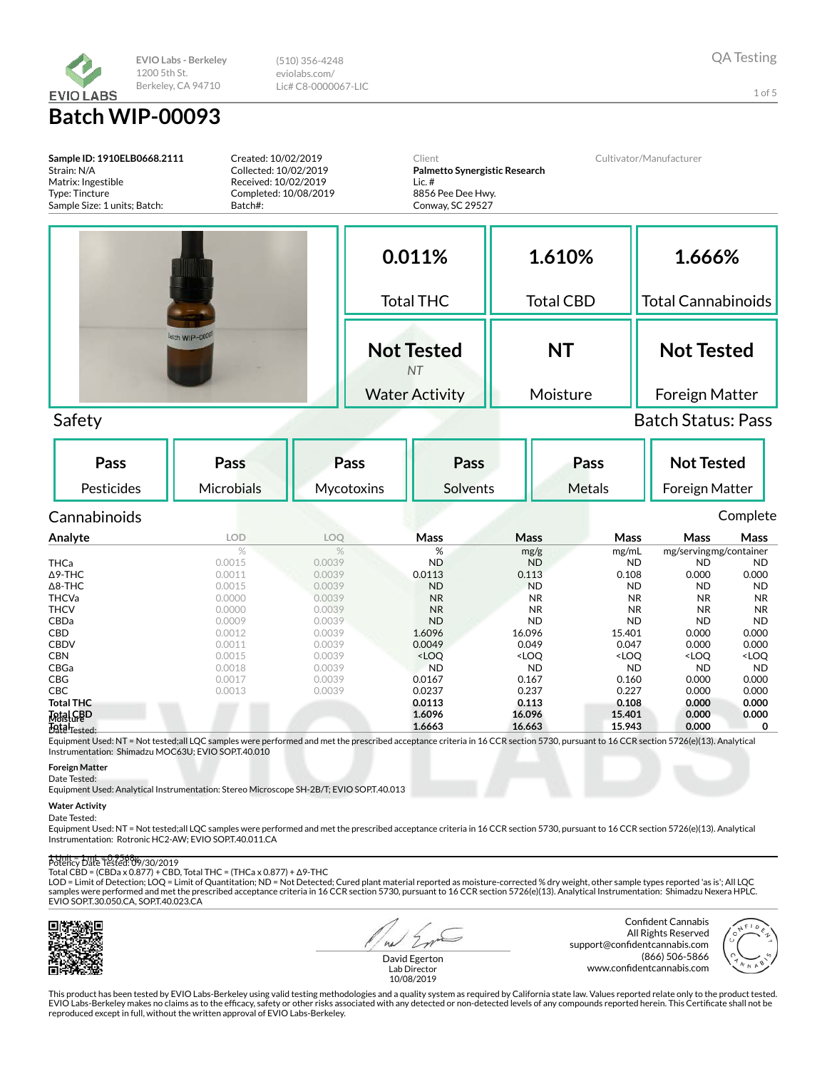

(510) 356-4248 eviolabs.com/ Lic# C8-0000067-LIC

1 of 5

Sample ID: 1910ELB0668.2111 Strain: N/A Matrix: Ingestible Type: Tincture Sample Size: 1 units; Batch: Created: 10/02/2019 Collected: 10/02/2019 Received: 10/02/2019 Completed: 10/08/2019 Batch#: Client Palmetto Synergistic Research Lic. # 8856 Pee Dee Hwy. Conway, SC 29527 Cultivator/Manufacturer 0.011% Total THC Not Tested NT Water Activity 1.610% Total CBD NT Moisture 1.666% Total Cannabinoids Not Tested Foreign Matter Safety Batch Status: Pass Pass Pesticides Pass **Microbials** Pass **Mycotoxins** Pass Solvents Pass Metals Not Tested Foreign Matter Cannabinoids Complete Analyte LOD LOQ Mass Mass Mass Mass Mass % % % % mg/g mg/mL mg/servingmg/container<br>
0.0015 0.0039 ND ND ND ND ND ND THCa 0.0015 0.0039 ND ND ND ND ND  $\Delta$ 9-THC 0.000 0.00011 0.0039 0.0113 0.113 0.108 0.000 0.000 Δ8-THC 0.0015 0.0039 ND ND ND ND ND THCVa 0.0000 0.0039 NR NR NR NR NR **THCV 0.0000 0.0039 NR NR NR NR NR** CBDa 0.0009 0.0039 ND ND ND ND ND **CBD** 0.0012 0.0039 **1.6096 16.096 16.096 15.401 0.000 0.000** CBDV 0.0011 0.0039 0.0049 0.049 0.047 0.000 0.000 CBN 0.0015 0.0039 <LOQ <LOQ <LOQ <LOQ <LOQ CBGa 0.0018 0.0039 ND ND ND ND ND

| $\Delta$ 9-THC                             | 0.0011 | 0.0039 | 0.0113                                                                                                                              | 0.113                                                                                                   | 0.108                                                                       | 0.000                                           | 0.000               |
|--------------------------------------------|--------|--------|-------------------------------------------------------------------------------------------------------------------------------------|---------------------------------------------------------------------------------------------------------|-----------------------------------------------------------------------------|-------------------------------------------------|---------------------|
| $\Delta$ 8-THC                             | 0.0015 | 0.0039 | <b>ND</b>                                                                                                                           | <b>ND</b>                                                                                               | <b>ND</b>                                                                   | <b>ND</b>                                       | <b>ND</b>           |
| <b>THCVa</b>                               | 0.0000 | 0.0039 | <b>NR</b>                                                                                                                           | <b>NR</b>                                                                                               | <b>NR</b>                                                                   | <b>NR</b>                                       | <b>NR</b>           |
| <b>THCV</b>                                | 0.0000 | 0.0039 | <b>NR</b>                                                                                                                           | <b>NR</b>                                                                                               | <b>NR</b>                                                                   | <b>NR</b>                                       | <b>NR</b>           |
| <b>CBDa</b>                                | 0.0009 | 0.0039 | <b>ND</b>                                                                                                                           | <b>ND</b>                                                                                               | <b>ND</b>                                                                   | <b>ND</b>                                       | <b>ND</b>           |
| CBD                                        | 0.0012 | 0.0039 | 1.6096                                                                                                                              | 16.096                                                                                                  | 15.401                                                                      | 0.000                                           | 0.000               |
| <b>CBDV</b>                                | 0.0011 | 0.0039 | 0.0049                                                                                                                              | 0.049                                                                                                   | 0.047                                                                       | 0.000                                           | 0.000               |
| <b>CBN</b>                                 | 0.0015 | 0.0039 | <loq< th=""><th><loq< th=""><th><loo< th=""><th><loo< th=""><th><loq< th=""></loq<></th></loo<></th></loo<></th></loq<></th></loq<> | <loq< th=""><th><loo< th=""><th><loo< th=""><th><loq< th=""></loq<></th></loo<></th></loo<></th></loq<> | <loo< th=""><th><loo< th=""><th><loq< th=""></loq<></th></loo<></th></loo<> | <loo< th=""><th><loq< th=""></loq<></th></loo<> | <loq< th=""></loq<> |
| CBGa                                       | 0.0018 | 0.0039 | <b>ND</b>                                                                                                                           | <b>ND</b>                                                                                               | <b>ND</b>                                                                   | <b>ND</b>                                       | <b>ND</b>           |
| <b>CBG</b>                                 | 0.0017 | 0.0039 | 0.0167                                                                                                                              | 0.167                                                                                                   | 0.160                                                                       | 0.000                                           | 0.000               |
| <b>CBC</b>                                 | 0.0013 | 0.0039 | 0.0237                                                                                                                              | 0.237                                                                                                   | 0.227                                                                       | 0.000                                           | 0.000               |
| <b>Total THC</b>                           |        |        | 0.0113                                                                                                                              | 0.113                                                                                                   | 0.108                                                                       | 0.000                                           | 0.000               |
|                                            |        |        | 1.6096                                                                                                                              | 16.096                                                                                                  | 15.401                                                                      | 0.000                                           | 0.000               |
| <b>Total CBD</b><br>Data <sub>Tested</sub> |        |        | 1.6663                                                                                                                              | 16.663                                                                                                  | 15.943                                                                      | 0.000                                           | 0                   |

Date Tested: Equipment Used: NT = Not tested;all LQC samples were performed and met the prescribed acceptance criteria in 16 CCR section 5730, pursuant to 16 CCR section 5726(e)(13). Analytical Instrumentation: Shimadzu MOC63U; EVIO SOP.T.40.010

## Foreign Matter

Date Tested:

Equipment Used: Analytical Instrumentation: Stereo Microscope SH-2B/T; EVIO SOP.T.40.013

### Water Activity

Date Tested:

Equipment Used: NT = Not tested;all LQC samples were performed and met the prescribed acceptance criteria in 16 CCR section 5730, pursuant to 16 CCR section 5726(e)(13). Analytical Instrumentation: Rotronic HC2-AW; EVIO SOP.T.40.011.CA

#### 1 Unit = 1 mL = 0.9568g Potency Date Tested: 09/30/2019

Total CBD = (CBDa x 0.877) + CBD, Total THC = (THCa x 0.877) + Δ9-THC

LOD = Limit of Detection; LOQ = Limit of Quantitation; ND = Not Detected; Cured plant material reported as moisture-corrected % dry weight, other sample types reported 'as is'; All LQC<br>samples were performed and met the pr EVIO SOP.T.30.050.CA, SOP.T.40.023.CA



 $\overline{a}$ 

Confident Cannabis All Rights Reserved support@confidentcannabis.com (866) 506-5866 www.confidentcannabis.com



David Egerton Lab Director 10/08/2019

This product has been tested by EVIO Labs-Berkeley using valid testing methodologies and a quality system as required by California state law. Values reported relate only to the product tested. EVIO Labs-Berkeley makes no claims as to the efficacy, safety or other risks associated with any detected or non-detected levels of any compounds reported herein. This Certificate shall not be<br>reproduced except in full, wi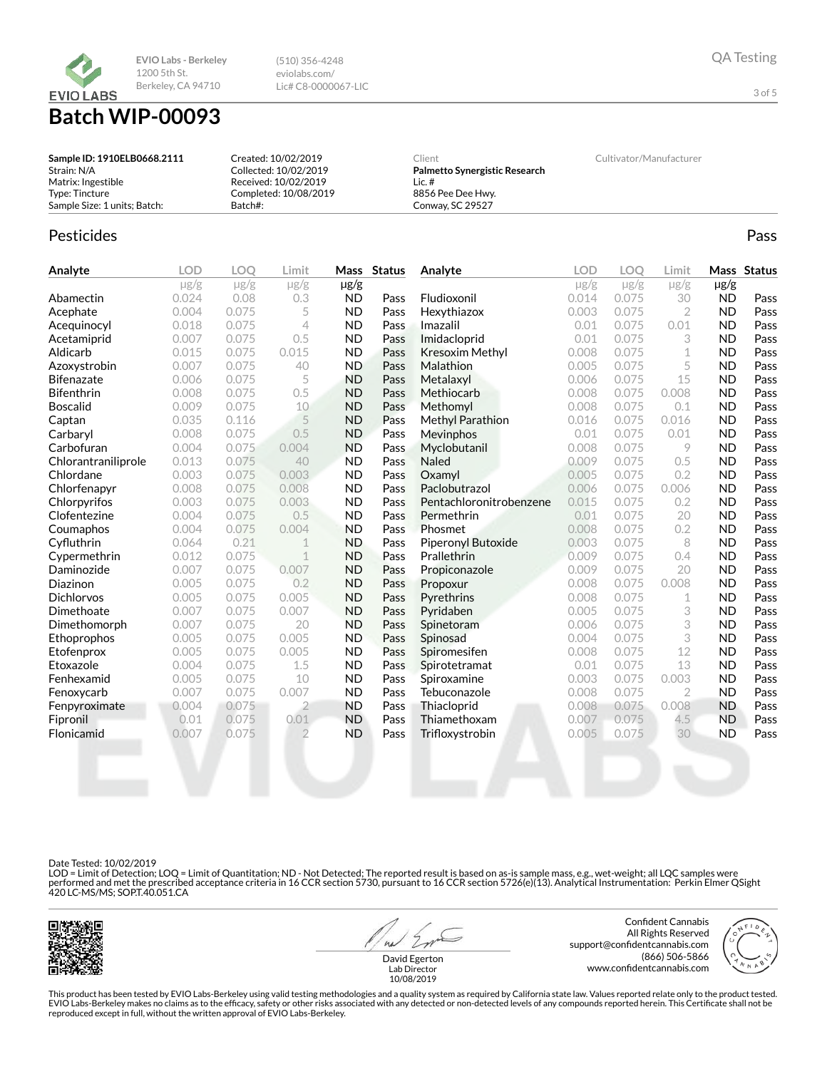

(510) 356-4248 eviolabs.com/ Lic# C8-0000067-LIC

# Batch WIP-00093

| Sample ID: 1910ELB0668.2111  | Created: 10/02/2019   | Client                        | Cultivator/Manufacturer |
|------------------------------|-----------------------|-------------------------------|-------------------------|
| Strain: N/A                  | Collected: 10/02/2019 | Palmetto Synergistic Research |                         |
| Matrix: Ingestible           | Received: 10/02/2019  | Lic. $#$                      |                         |
| Type: Tincture               | Completed: 10/08/2019 | 8856 Pee Dee Hwy.             |                         |
| Sample Size: 1 units: Batch: | Batch#:               | Conway, SC 29527              |                         |

# Pesticides **Passage Community Community Community** Passes and the extension of the extension of the extension of the extension of the extension of the extension of the extension of the extension of the extension of the ext

| Analyte             | <b>LOD</b> | <b>LOO</b> | Limit          |           | Mass Status | Analyte                 | <b>LOD</b> | <b>LOO</b> | Limit          |           | Mass Status |
|---------------------|------------|------------|----------------|-----------|-------------|-------------------------|------------|------------|----------------|-----------|-------------|
|                     | $\mu$ g/g  | $\mu$ g/g  | $\mu$ g/g      | $\mu$ g/g |             |                         | $\mu$ g/g  | $\mu$ g/g  | $\mu$ g/g      | $\mu$ g/g |             |
| Abamectin           | 0.024      | 0.08       | 0.3            | <b>ND</b> | Pass        | Fludioxonil             | 0.014      | 0.075      | 30             | <b>ND</b> | Pass        |
| Acephate            | 0.004      | 0.075      | 5              | <b>ND</b> | Pass        | Hexythiazox             | 0.003      | 0.075      | $\overline{2}$ | <b>ND</b> | Pass        |
| Acequinocyl         | 0.018      | 0.075      | 4              | <b>ND</b> | Pass        | Imazalil                | 0.01       | 0.075      | 0.01           | <b>ND</b> | Pass        |
| Acetamiprid         | 0.007      | 0.075      | 0.5            | <b>ND</b> | Pass        | Imidacloprid            | 0.01       | 0.075      | 3              | <b>ND</b> | Pass        |
| Aldicarb            | 0.015      | 0.075      | 0.015          | <b>ND</b> | Pass        | Kresoxim Methyl         | 0.008      | 0.075      | $\mathbf 1$    | <b>ND</b> | Pass        |
| Azoxystrobin        | 0.007      | 0.075      | 40             | <b>ND</b> | Pass        | Malathion               | 0.005      | 0.075      | 5              | <b>ND</b> | Pass        |
| <b>Bifenazate</b>   | 0.006      | 0.075      | 5              | <b>ND</b> | Pass        | Metalaxyl               | 0.006      | 0.075      | 15             | <b>ND</b> | Pass        |
| Bifenthrin          | 0.008      | 0.075      | 0.5            | <b>ND</b> | Pass        | Methiocarb              | 0.008      | 0.075      | 0.008          | <b>ND</b> | Pass        |
| <b>Boscalid</b>     | 0.009      | 0.075      | 10             | <b>ND</b> | Pass        | Methomyl                | 0.008      | 0.075      | 0.1            | <b>ND</b> | Pass        |
| Captan              | 0.035      | 0.116      | 5              | <b>ND</b> | Pass        | <b>Methyl Parathion</b> | 0.016      | 0.075      | 0.016          | <b>ND</b> | Pass        |
| Carbaryl            | 0.008      | 0.075      | 0.5            | <b>ND</b> | Pass        | <b>Mevinphos</b>        | 0.01       | 0.075      | 0.01           | <b>ND</b> | Pass        |
| Carbofuran          | 0.004      | 0.075      | 0.004          | <b>ND</b> | Pass        | Myclobutanil            | 0.008      | 0.075      | 9              | <b>ND</b> | Pass        |
| Chlorantraniliprole | 0.013      | 0.075      | 40             | <b>ND</b> | Pass        | <b>Naled</b>            | 0.009      | 0.075      | 0.5            | <b>ND</b> | Pass        |
| Chlordane           | 0.003      | 0.075      | 0.003          | <b>ND</b> | Pass        | Oxamyl                  | 0.005      | 0.075      | 0.2            | <b>ND</b> | Pass        |
| Chlorfenapyr        | 0.008      | 0.075      | 0.008          | <b>ND</b> | Pass        | Paclobutrazol           | 0.006      | 0.075      | 0.006          | <b>ND</b> | Pass        |
| Chlorpyrifos        | 0.003      | 0.075      | 0.003          | <b>ND</b> | Pass        | Pentachloronitrobenzene | 0.015      | 0.075      | 0.2            | <b>ND</b> | Pass        |
| Clofentezine        | 0.004      | 0.075      | 0.5            | <b>ND</b> | Pass        | Permethrin              | 0.01       | 0.075      | 20             | <b>ND</b> | Pass        |
| Coumaphos           | 0.004      | 0.075      | 0.004          | <b>ND</b> | Pass        | Phosmet                 | 0.008      | 0.075      | 0.2            | <b>ND</b> | Pass        |
| Cyfluthrin          | 0.064      | 0.21       | $\mathbf 1$    | <b>ND</b> | Pass        | Piperonyl Butoxide      | 0.003      | 0.075      | 8              | <b>ND</b> | Pass        |
| Cypermethrin        | 0.012      | 0.075      | 1              | <b>ND</b> | Pass        | Prallethrin             | 0.009      | 0.075      | 0.4            | <b>ND</b> | Pass        |
| Daminozide          | 0.007      | 0.075      | 0.007          | <b>ND</b> | Pass        | Propiconazole           | 0.009      | 0.075      | 20             | <b>ND</b> | Pass        |
| Diazinon            | 0.005      | 0.075      | 0.2            | <b>ND</b> | Pass        | Propoxur                | 0.008      | 0.075      | 0.008          | <b>ND</b> | Pass        |
| <b>Dichlorvos</b>   | 0.005      | 0.075      | 0.005          | <b>ND</b> | Pass        | Pyrethrins              | 0.008      | 0.075      | 1              | <b>ND</b> | Pass        |
| Dimethoate          | 0.007      | 0.075      | 0.007          | <b>ND</b> | Pass        | Pyridaben               | 0.005      | 0.075      | 3              | <b>ND</b> | Pass        |
| Dimethomorph        | 0.007      | 0.075      | 20             | <b>ND</b> | Pass        | Spinetoram              | 0.006      | 0.075      | 3              | <b>ND</b> | Pass        |
| Ethoprophos         | 0.005      | 0.075      | 0.005          | <b>ND</b> | Pass        | Spinosad                | 0.004      | 0.075      | 3              | <b>ND</b> | Pass        |
| Etofenprox          | 0.005      | 0.075      | 0.005          | <b>ND</b> | Pass        | Spiromesifen            | 0.008      | 0.075      | 12             | <b>ND</b> | Pass        |
| Etoxazole           | 0.004      | 0.075      | 1.5            | <b>ND</b> | Pass        | Spirotetramat           | 0.01       | 0.075      | 13             | <b>ND</b> | Pass        |
| Fenhexamid          | 0.005      | 0.075      | 10             | <b>ND</b> | Pass        | Spiroxamine             | 0.003      | 0.075      | 0.003          | <b>ND</b> | Pass        |
| Fenoxycarb          | 0.007      | 0.075      | 0.007          | <b>ND</b> | Pass        | Tebuconazole            | 0.008      | 0.075      | $\overline{2}$ | <b>ND</b> | Pass        |
| Fenpyroximate       | 0.004      | 0.075      | $\overline{2}$ | <b>ND</b> | Pass        | Thiacloprid             | 0.008      | 0.075      | 0.008          | <b>ND</b> | Pass        |
| Fipronil            | 0.01       | 0.075      | 0.01           | <b>ND</b> | Pass        | Thiamethoxam            | 0.007      | 0.075      | 4.5            | <b>ND</b> | Pass        |
| Flonicamid          | 0.007      | 0.075      | $\overline{2}$ | <b>ND</b> | Pass        | Trifloxystrobin         | 0.005      | 0.075      | 30             | <b>ND</b> | Pass        |
|                     |            |            |                |           |             |                         |            |            |                |           |             |

Date Tested: 10/02/2019

LOD = Limit of Detection; LOQ = Limit of Quantitation; ND - Not Detected; The reported result is based on as-is sample mass, e.g., wet-weight; all LQC samples were performed and met the prescribed acceptance criteria in 16 CCR section 5730, pursuant to 16 CCR section 5726(e)(13). Analytical Instrumentation: Perkin Elmer QSight<br>420 LC-MS/MS; SOP.T.40.051.CA



 $41$ David Egerton

Confident Cannabis All Rights Reserved support@confidentcannabis.com (866) 506-5866 www.confidentcannabis.com



3 of 5

This product has been tested by EVIO Labs-Berkeley using valid testing methodologies and a quality system as required by California state law. Values reported relate only to the product tested. EVIO Labs-Berkeley makes no claims as to the efficacy, safety or other risks associated with any detected or non-detected levels of any compounds reported herein. This Certificate shall not be<br>reproduced except in full, wi 10/08/2019

Lab Director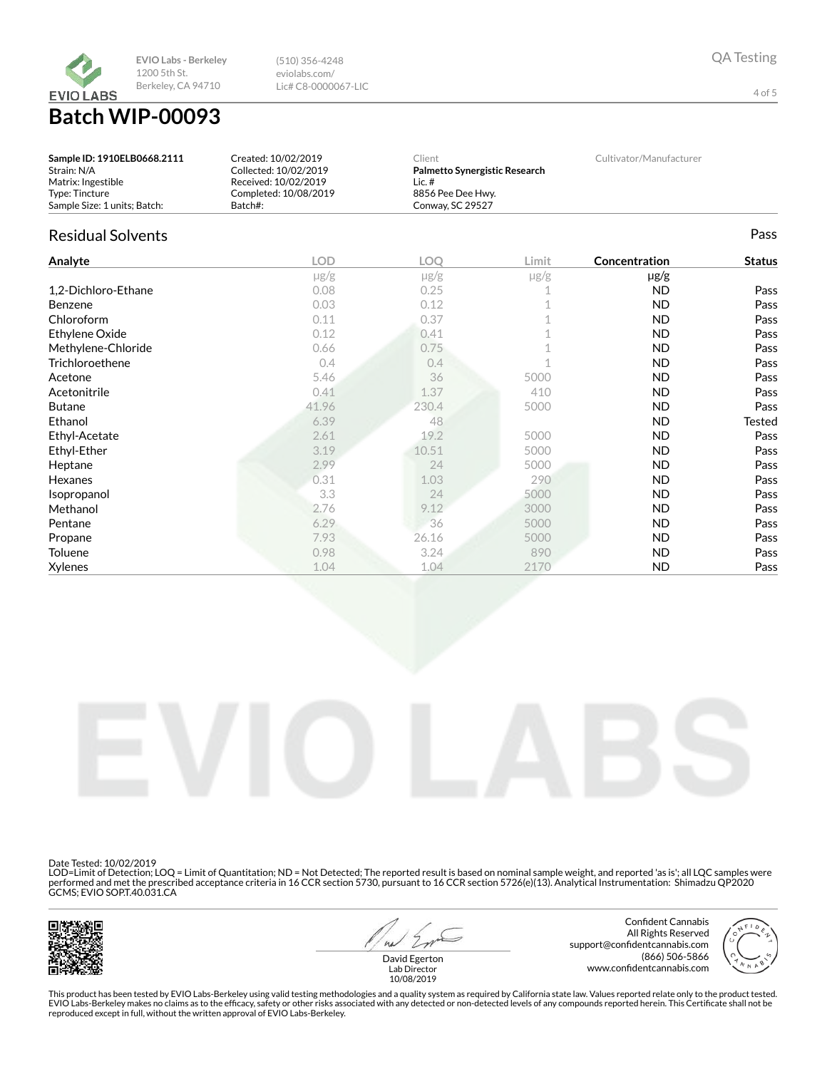

Batch WIP-00093

| Sample ID: 1910ELB0668.2111  | Created: 10/02/2019   | Client                        | Cultivator/Manufacturer |
|------------------------------|-----------------------|-------------------------------|-------------------------|
| Strain: N/A                  | Collected: 10/02/2019 | Palmetto Synergistic Research |                         |
| Matrix: Ingestible           | Received: 10/02/2019  | Lic. #                        |                         |
| Type: Tincture               | Completed: 10/08/2019 | 8856 Pee Dee Hwy.             |                         |
| Sample Size: 1 units: Batch: | Batch#:               | Conway, SC 29527              |                         |

(510) 356-4248 eviolabs.com/ Lic# C8-0000067-LIC

# Residual Solvents Pass

| Analyte             | <b>LOD</b> | <b>LOO</b> | Limit     | Concentration | <b>Status</b> |
|---------------------|------------|------------|-----------|---------------|---------------|
|                     | $\mu$ g/g  | $\mu$ g/g  | $\mu$ g/g | $\mu$ g/g     |               |
| 1,2-Dichloro-Ethane | 0.08       | 0.25       |           | ND            | Pass          |
| <b>Benzene</b>      | 0.03       | 0.12       |           | <b>ND</b>     | Pass          |
| Chloroform          | 0.11       | 0.37       |           | ND            | Pass          |
| Ethylene Oxide      | 0.12       | 0.41       |           | ND.           | Pass          |
| Methylene-Chloride  | 0.66       | 0.75       |           | ND            | Pass          |
| Trichloroethene     | 0.4        | 0.4        |           | <b>ND</b>     | Pass          |
| Acetone             | 5.46       | 36         | 5000      | <b>ND</b>     | Pass          |
| Acetonitrile        | 0.41       | 1.37       | 410       | <b>ND</b>     | Pass          |
| <b>Butane</b>       | 41.96      | 230.4      | 5000      | <b>ND</b>     | Pass          |
| Ethanol             | 6.39       | 48         |           | <b>ND</b>     | <b>Tested</b> |
| Ethyl-Acetate       | 2.61       | 19.2       | 5000      | <b>ND</b>     | Pass          |
| Ethyl-Ether         | 3.19       | 10.51      | 5000      | <b>ND</b>     | Pass          |
| Heptane             | 2.99       | 24         | 5000      | <b>ND</b>     | Pass          |
| <b>Hexanes</b>      | 0.31       | 1.03       | 290       | <b>ND</b>     | Pass          |
| Isopropanol         | 3.3        | 24         | 5000      | ND.           | Pass          |
| Methanol            | 2.76       | 9.12       | 3000      | <b>ND</b>     | Pass          |
| Pentane             | 6.29       | 36         | 5000      | <b>ND</b>     | Pass          |
| Propane             | 7.93       | 26.16      | 5000      | ND            | Pass          |
| Toluene             | 0.98       | 3.24       | 890       | <b>ND</b>     | Pass          |
| Xylenes             | 1.04       | 1.04       | 2170      | <b>ND</b>     | Pass          |



Date Tested: 10/02/2019

LOD=Limit of Detection; LOQ = Limit of Quantitation; ND = Not Detected; The reported result is based on nominal sample weight, and reported 'as is'; all LQC samples were<br>performed and met the prescribed acceptance criteria



 $41$ 

Confident Cannabis All Rights Reserved support@confidentcannabis.com (866) 506-5866 www.confidentcannabis.com



David Egerton Lab Director 10/08/2019

This product has been tested by EVIO Labs-Berkeley using valid testing methodologies and a quality system as required by California state law. Values reported relate only to the product tested. EVIO Labs-Berkeley makes no claims as to the efficacy, safety or other risks associated with any detected or non-detected levels of any compounds reported herein. This Certificate shall not be<br>reproduced except in full, wi

4 of 5